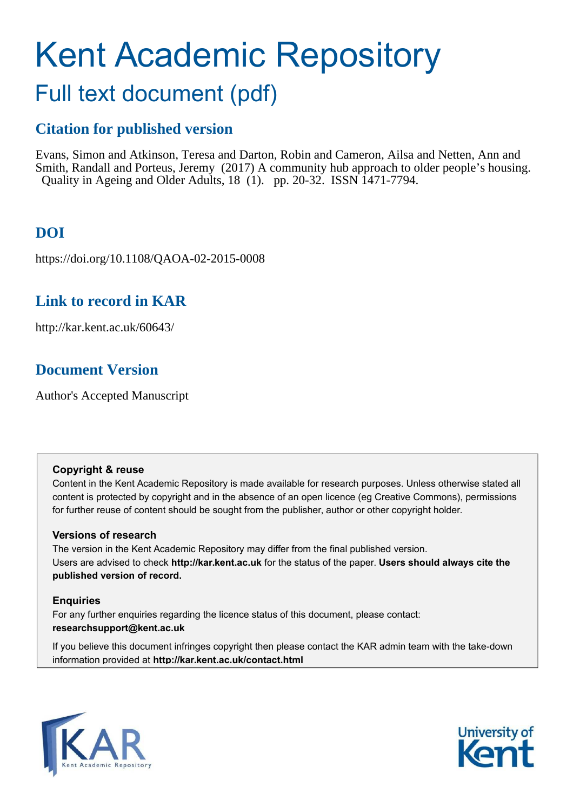# Kent Academic Repository

## Full text document (pdf)

## **Citation for published version**

Evans, Simon and Atkinson, Teresa and Darton, Robin and Cameron, Ailsa and Netten, Ann and Smith, Randall and Porteus, Jeremy (2017) A community hub approach to older people's housing. Quality in Ageing and Older Adults, 18 (1). pp. 20-32. ISSN 1471-7794.

## **DOI**

https://doi.org/10.1108/QAOA-02-2015-0008

## **Link to record in KAR**

http://kar.kent.ac.uk/60643/

## **Document Version**

Author's Accepted Manuscript

#### **Copyright & reuse**

Content in the Kent Academic Repository is made available for research purposes. Unless otherwise stated all content is protected by copyright and in the absence of an open licence (eg Creative Commons), permissions for further reuse of content should be sought from the publisher, author or other copyright holder.

#### **Versions of research**

The version in the Kent Academic Repository may differ from the final published version. Users are advised to check **http://kar.kent.ac.uk** for the status of the paper. **Users should always cite the published version of record.**

#### **Enquiries**

For any further enquiries regarding the licence status of this document, please contact: **researchsupport@kent.ac.uk**

If you believe this document infringes copyright then please contact the KAR admin team with the take-down information provided at **http://kar.kent.ac.uk/contact.html**



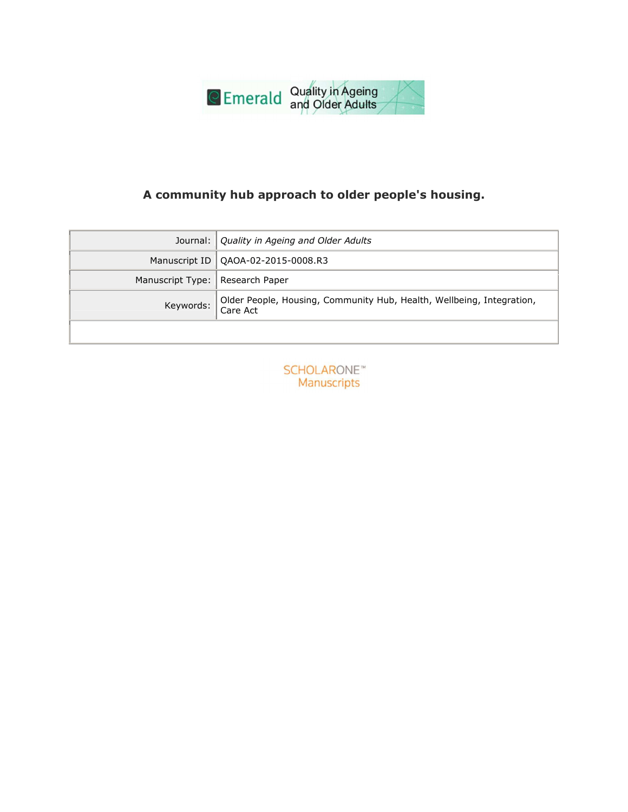

### A community hub approach to older people's housing.

|                                   | Journal:   Quality in Ageing and Older Adults                                   |
|-----------------------------------|---------------------------------------------------------------------------------|
|                                   | Manuscript ID   QAOA-02-2015-0008.R3                                            |
| Manuscript Type:   Research Paper |                                                                                 |
|                                   | Keywords: Older People, Housing, Community Hub, Health, Wellbeing, Integration, |
|                                   |                                                                                 |

**SCHOLARONE™** Manuscripts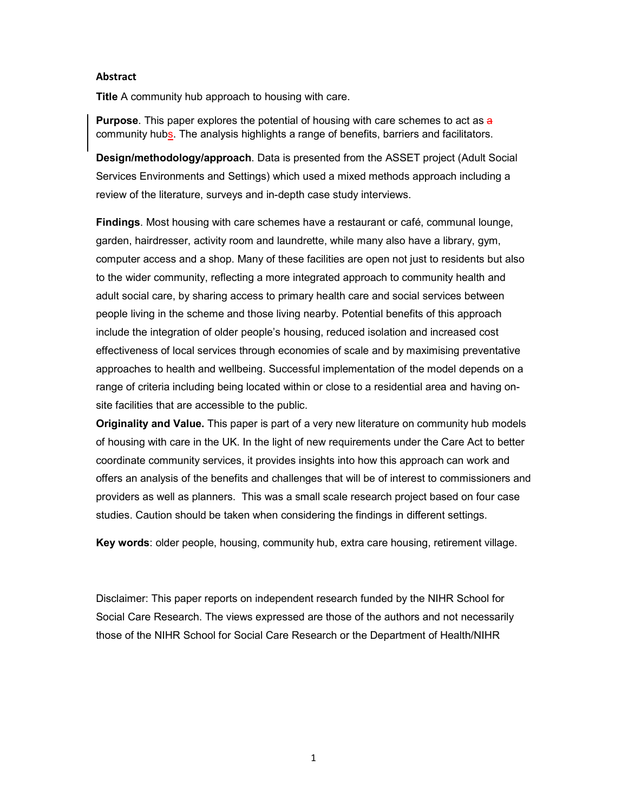#### **Abstract**

**Title** A community hub approach to housing with care.

**Purpose.** This paper explores the potential of housing with care schemes to act as a community hubs. The analysis highlights a range of benefits, barriers and facilitators.

Design/methodology/approach. Data is presented from the ASSET project (Adult Social Services Environments and Settings) which used a mixed methods approach including a review of the literature, surveys and in-depth case study interviews.

Findings. Most housing with care schemes have a restaurant or café, communal lounge, garden, hairdresser, activity room and laundrette, while many also have a library, gym, computer access and a shop. Many of these facilities are open not just to residents but also to the wider community, reflecting a more integrated approach to community health and adult social care, by sharing access to primary health care and social services between people living in the scheme and those living nearby. Potential benefits of this approach include the integration of older people's housing, reduced isolation and increased cost effectiveness of local services through economies of scale and by maximising preventative approaches to health and wellbeing. Successful implementation of the model depends on a range of criteria including being located within or close to a residential area and having onsite facilities that are accessible to the public.

Originality and Value. This paper is part of a very new literature on community hub models of housing with care in the UK. In the light of new requirements under the Care Act to better coordinate community services, it provides insights into how this approach can work and offers an analysis of the benefits and challenges that will be of interest to commissioners and providers as well as planners. This was a small scale research project based on four case studies. Caution should be taken when considering the findings in different settings.

Key words: older people, housing, community hub, extra care housing, retirement village.

Disclaimer: This paper reports on independent research funded by the NIHR School for Social Care Research. The views expressed are those of the authors and not necessarily those of the NIHR School for Social Care Research or the Department of Health/NIHR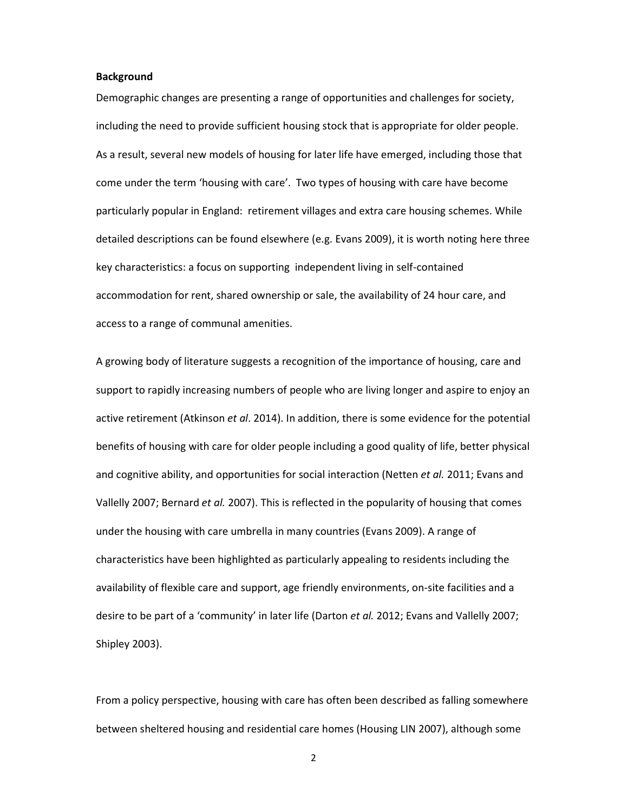#### **Background**

Demographic changes are presenting a range of opportunities and challenges for society, including the need to provide sufficient housing stock that is appropriate for older people. As a result, several new models of housing for later life have emerged, including those that come under the term 'housing with care'. Two types of housing with care have become particularly popular in England: retirement villages and extra care housing schemes. While detailed descriptions can be found elsewhere (e.g. Evans 2009), it is worth noting here three key characteristics: a focus on supporting independent living in self-contained accommodation for rent, shared ownership or sale, the availability of 24 hour care, and access to a range of communal amenities.

A growing body of literature suggests a recognition of the importance of housing, care and support to rapidly increasing numbers of people who are living longer and aspire to enjoy an active retirement (Atkinson *et al*. 2014). In addition, there is some evidence for the potential benefits of housing with care for older people including a good quality of life, better physical and cognitive ability, and opportunities for social interaction (Netten *et al.* 2011; Evans and Vallelly 2007; Bernard *et al.* 2007). This is reflected in the popularity of housing that comes under the housing with care umbrella in many countries (Evans 2009). A range of characteristics have been highlighted as particularly appealing to residents including the availability of flexible care and support, age friendly environments, on-site facilities and a desire to be part of a 'community' in later life (Darton *et al.* 2012; Evans and Vallelly 2007; Shipley 2003).

From a policy perspective, housing with care has often been described as falling somewhere between sheltered housing and residential care homes (Housing LIN 2007), although some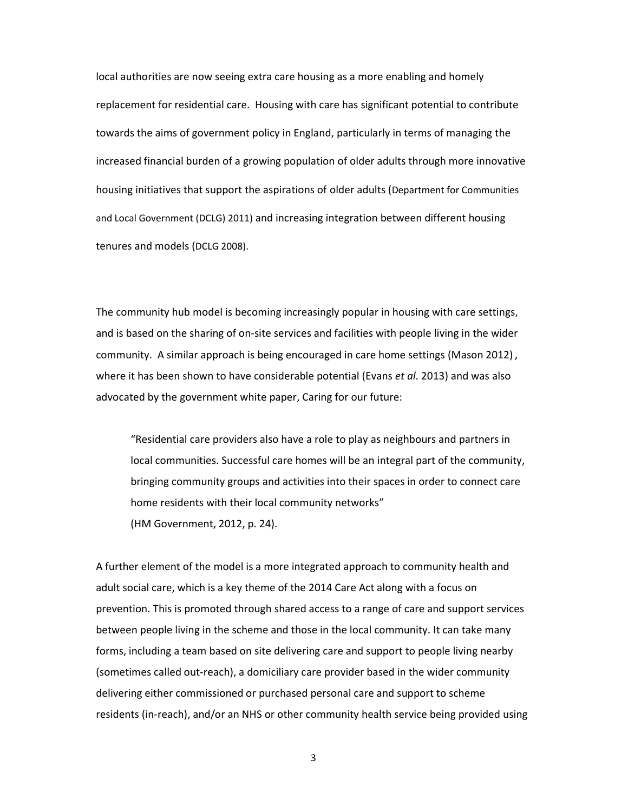local authorities are now seeing extra care housing as a more enabling and homely replacement for residential care. Housing with care has significant potential to contribute towards the aims of government policy in England, particularly in terms of managing the increased financial burden of a growing population of older adults through more innovative housing initiatives that support the aspirations of older adults (Department for Communities and Local Government (DCLG) 2011) and increasing integration between different housing tenures and models (DCLG 2008).

The community hub model is becoming increasingly popular in housing with care settings, and is based on the sharing of on-site services and facilities with people living in the wider community. A similar approach is being encouraged in care home settings (Mason 2012) , where it has been shown to have considerable potential (Evans *et al*. 2013) and was also advocated by the government white paper, Caring for our future:

"Residential care providers also have a role to play as neighbours and partners in local communities. Successful care homes will be an integral part of the community, bringing community groups and activities into their spaces in order to connect care home residents with their local community networks" (HM Government, 2012, p. 24).

A further element of the model is a more integrated approach to community health and adult social care, which is a key theme of the 2014 Care Act along with a focus on prevention. This is promoted through shared access to a range of care and support services between people living in the scheme and those in the local community. It can take many forms, including a team based on site delivering care and support to people living nearby (sometimes called out-reach), a domiciliary care provider based in the wider community delivering either commissioned or purchased personal care and support to scheme residents (in-reach), and/or an NHS or other community health service being provided using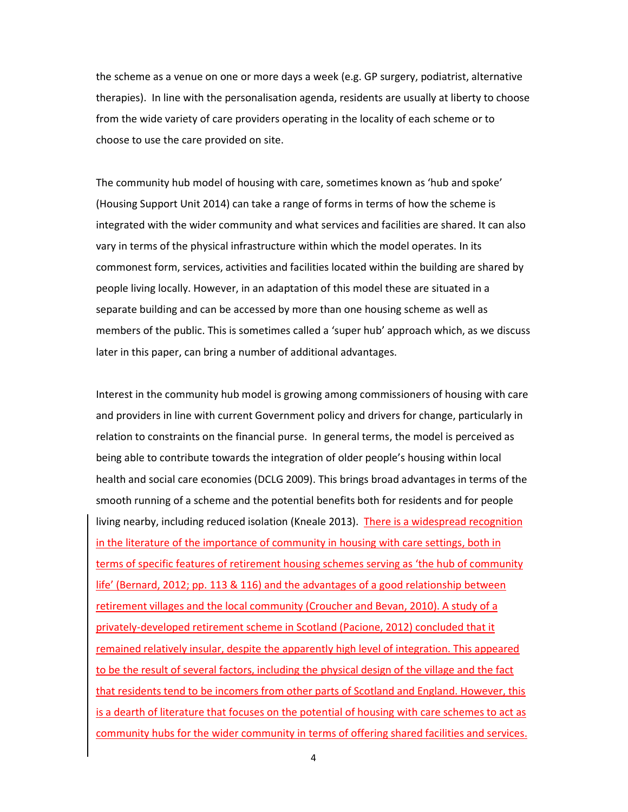the scheme as a venue on one or more days a week (e.g. GP surgery, podiatrist, alternative therapies). In line with the personalisation agenda, residents are usually at liberty to choose from the wide variety of care providers operating in the locality of each scheme or to choose to use the care provided on site.

The community hub model of housing with care, sometimes known as 'hub and spoke' (Housing Support Unit 2014) can take a range of forms in terms of how the scheme is integrated with the wider community and what services and facilities are shared. It can also vary in terms of the physical infrastructure within which the model operates. In its commonest form, services, activities and facilities located within the building are shared by people living locally. However, in an adaptation of this model these are situated in a separate building and can be accessed by more than one housing scheme as well as members of the public. This is sometimes called a 'super hub' approach which, as we discuss later in this paper, can bring a number of additional advantages.

Interest in the community hub model is growing among commissioners of housing with care and providers in line with current Government policy and drivers for change, particularly in relation to constraints on the financial purse. In general terms, the model is perceived as being able to contribute towards the integration of older people's housing within local health and social care economies (DCLG 2009). This brings broad advantages in terms of the smooth running of a scheme and the potential benefits both for residents and for people living nearby, including reduced isolation (Kneale 2013). There is a widespread recognition in the literature of the importance of community in housing with care settings, both in terms of specific features of retirement housing schemes serving as 'the hub of community life' (Bernard, 2012; pp. 113 & 116) and the advantages of a good relationship between retirement villages and the local community (Croucher and Bevan, 2010). A study of a privately-developed retirement scheme in Scotland (Pacione, 2012) concluded that it remained relatively insular, despite the apparently high level of integration. This appeared to be the result of several factors, including the physical design of the village and the fact that residents tend to be incomers from other parts of Scotland and England. However, this is a dearth of literature that focuses on the potential of housing with care schemes to act as community hubs for the wider community in terms of offering shared facilities and services.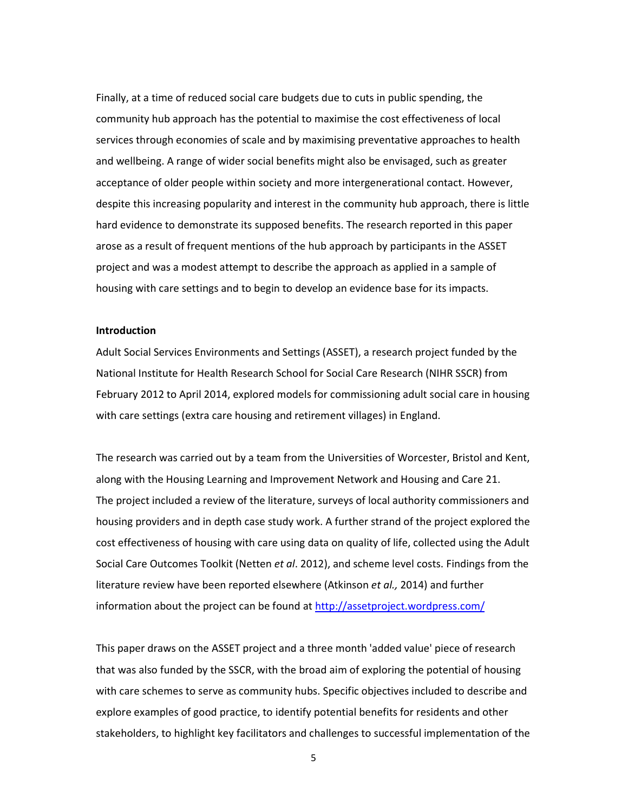Finally, at a time of reduced social care budgets due to cuts in public spending, the community hub approach has the potential to maximise the cost effectiveness of local services through economies of scale and by maximising preventative approaches to health and wellbeing. A range of wider social benefits might also be envisaged, such as greater acceptance of older people within society and more intergenerational contact. However, despite this increasing popularity and interest in the community hub approach, there is little hard evidence to demonstrate its supposed benefits. The research reported in this paper arose as a result of frequent mentions of the hub approach by participants in the ASSET project and was a modest attempt to describe the approach as applied in a sample of housing with care settings and to begin to develop an evidence base for its impacts.

#### **Introduction**

Adult Social Services Environments and Settings (ASSET), a research project funded by the National Institute for Health Research School for Social Care Research (NIHR SSCR) from February 2012 to April 2014, explored models for commissioning adult social care in housing with care settings (extra care housing and retirement villages) in England.

The research was carried out by a team from the Universities of Worcester, Bristol and Kent, along with the Housing Learning and Improvement Network and Housing and Care 21. The project included a review of the literature, surveys of local authority commissioners and housing providers and in depth case study work. A further strand of the project explored the cost effectiveness of housing with care using data on quality of life, collected using the Adult Social Care Outcomes Toolkit (Netten *et al*. 2012), and scheme level costs. Findings from the literature review have been reported elsewhere (Atkinson *et al.,* 2014) and further information about the project can be found at http://assetproject.wordpress.com/

This paper draws on the ASSET project and a three month 'added value' piece of research that was also funded by the SSCR, with the broad aim of exploring the potential of housing with care schemes to serve as community hubs. Specific objectives included to describe and explore examples of good practice, to identify potential benefits for residents and other stakeholders, to highlight key facilitators and challenges to successful implementation of the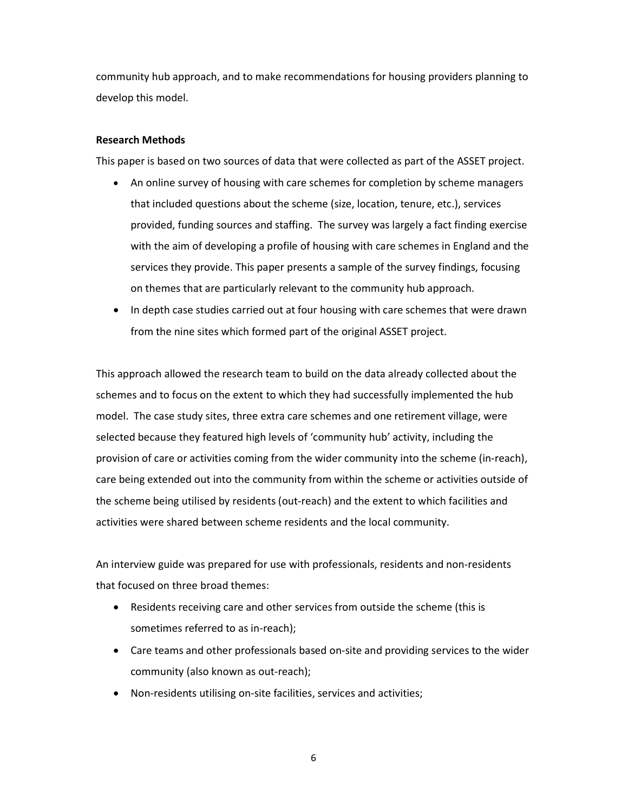community hub approach, and to make recommendations for housing providers planning to develop this model.

#### **Research Methods**

This paper is based on two sources of data that were collected as part of the ASSET project.

- An online survey of housing with care schemes for completion by scheme managers that included questions about the scheme (size, location, tenure, etc.), services provided, funding sources and staffing. The survey was largely a fact finding exercise with the aim of developing a profile of housing with care schemes in England and the services they provide. This paper presents a sample of the survey findings, focusing on themes that are particularly relevant to the community hub approach.
- In depth case studies carried out at four housing with care schemes that were drawn from the nine sites which formed part of the original ASSET project.

This approach allowed the research team to build on the data already collected about the schemes and to focus on the extent to which they had successfully implemented the hub model. The case study sites, three extra care schemes and one retirement village, were selected because they featured high levels of 'community hub' activity, including the provision of care or activities coming from the wider community into the scheme (in-reach), care being extended out into the community from within the scheme or activities outside of the scheme being utilised by residents (out-reach) and the extent to which facilities and activities were shared between scheme residents and the local community.

An interview guide was prepared for use with professionals, residents and non-residents that focused on three broad themes:

- Residents receiving care and other services from outside the scheme (this is sometimes referred to as in-reach);
- Care teams and other professionals based on-site and providing services to the wider community (also known as out-reach);
- Non-residents utilising on-site facilities, services and activities;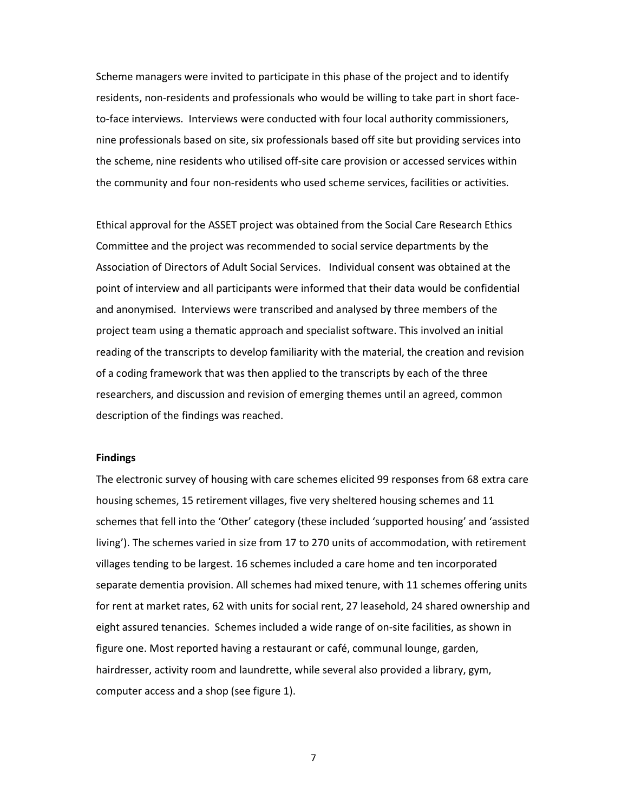Scheme managers were invited to participate in this phase of the project and to identify residents, non-residents and professionals who would be willing to take part in short faceto-face interviews. Interviews were conducted with four local authority commissioners, nine professionals based on site, six professionals based off site but providing services into the scheme, nine residents who utilised off-site care provision or accessed services within the community and four non-residents who used scheme services, facilities or activities.

Ethical approval for the ASSET project was obtained from the Social Care Research Ethics Committee and the project was recommended to social service departments by the Association of Directors of Adult Social Services. Individual consent was obtained at the point of interview and all participants were informed that their data would be confidential and anonymised. Interviews were transcribed and analysed by three members of the project team using a thematic approach and specialist software. This involved an initial reading of the transcripts to develop familiarity with the material, the creation and revision of a coding framework that was then applied to the transcripts by each of the three researchers, and discussion and revision of emerging themes until an agreed, common description of the findings was reached.

#### **Findings**

The electronic survey of housing with care schemes elicited 99 responses from 68 extra care housing schemes, 15 retirement villages, five very sheltered housing schemes and 11 schemes that fell into the 'Other' category (these included 'supported housing' and 'assisted living'). The schemes varied in size from 17 to 270 units of accommodation, with retirement villages tending to be largest. 16 schemes included a care home and ten incorporated separate dementia provision. All schemes had mixed tenure, with 11 schemes offering units for rent at market rates, 62 with units for social rent, 27 leasehold, 24 shared ownership and eight assured tenancies. Schemes included a wide range of on-site facilities, as shown in figure one. Most reported having a restaurant or café, communal lounge, garden, hairdresser, activity room and laundrette, while several also provided a library, gym, computer access and a shop (see figure 1).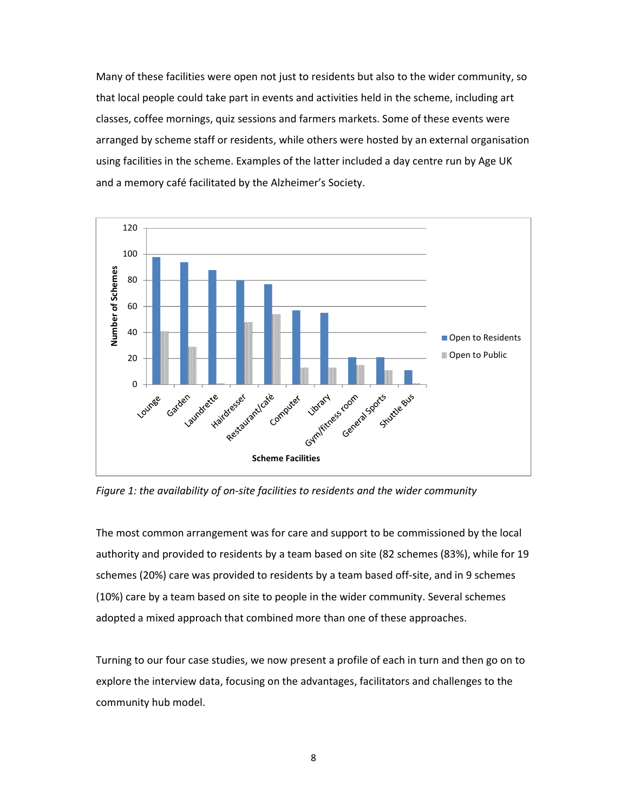Many of these facilities were open not just to residents but also to the wider community, so that local people could take part in events and activities held in the scheme, including art classes, coffee mornings, quiz sessions and farmers markets. Some of these events were arranged by scheme staff or residents, while others were hosted by an external organisation using facilities in the scheme. Examples of the latter included a day centre run by Age UK and a memory café facilitated by the Alzheimer's Society.



*Figure 1: the availability of on-site facilities to residents and the wider community* 

The most common arrangement was for care and support to be commissioned by the local authority and provided to residents by a team based on site (82 schemes (83%), while for 19 schemes (20%) care was provided to residents by a team based off-site, and in 9 schemes (10%) care by a team based on site to people in the wider community. Several schemes adopted a mixed approach that combined more than one of these approaches.

Turning to our four case studies, we now present a profile of each in turn and then go on to explore the interview data, focusing on the advantages, facilitators and challenges to the community hub model.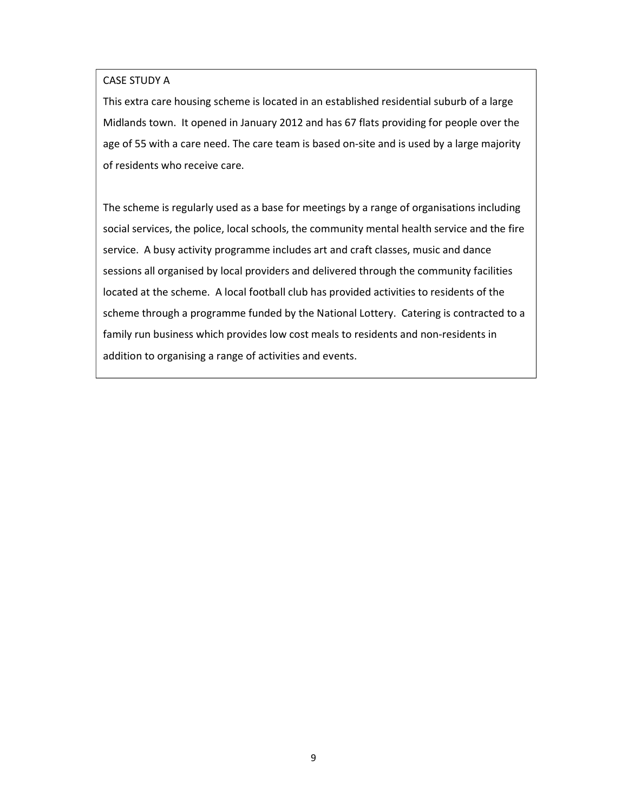#### CASE STUDY A

This extra care housing scheme is located in an established residential suburb of a large Midlands town. It opened in January 2012 and has 67 flats providing for people over the age of 55 with a care need. The care team is based on-site and is used by a large majority of residents who receive care.

The scheme is regularly used as a base for meetings by a range of organisations including social services, the police, local schools, the community mental health service and the fire service. A busy activity programme includes art and craft classes, music and dance sessions all organised by local providers and delivered through the community facilities located at the scheme. A local football club has provided activities to residents of the scheme through a programme funded by the National Lottery. Catering is contracted to a family run business which provides low cost meals to residents and non-residents in addition to organising a range of activities and events.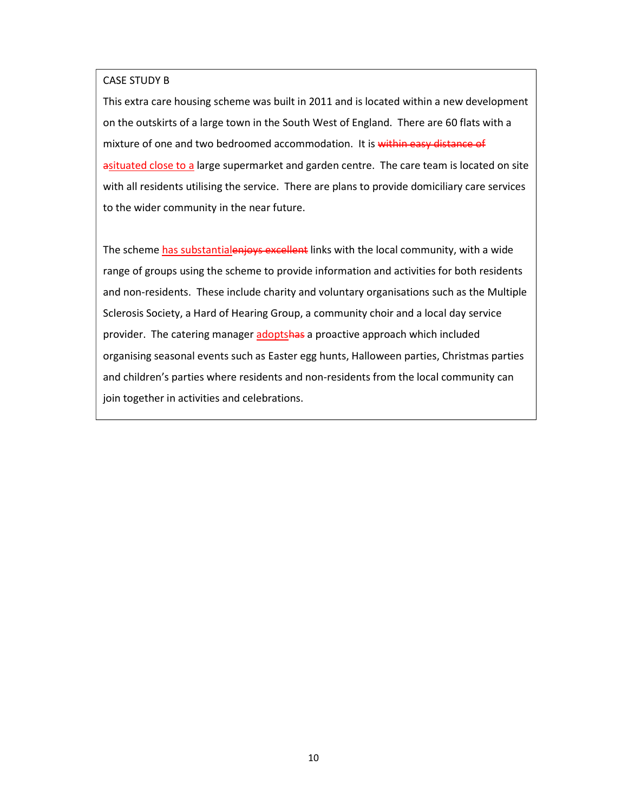#### CASE STUDY B

This extra care housing scheme was built in 2011 and is located within a new development on the outskirts of a large town in the South West of England. There are 60 flats with a mixture of one and two bedroomed accommodation. It is within easy distance of asituated close to a large supermarket and garden centre. The care team is located on site with all residents utilising the service. There are plans to provide domiciliary care services to the wider community in the near future.

The scheme has substantialenjoys excellent links with the local community, with a wide range of groups using the scheme to provide information and activities for both residents and non-residents. These include charity and voluntary organisations such as the Multiple Sclerosis Society, a Hard of Hearing Group, a community choir and a local day service provider. The catering manager adoptshas a proactive approach which included organising seasonal events such as Easter egg hunts, Halloween parties, Christmas parties and children's parties where residents and non-residents from the local community can join together in activities and celebrations.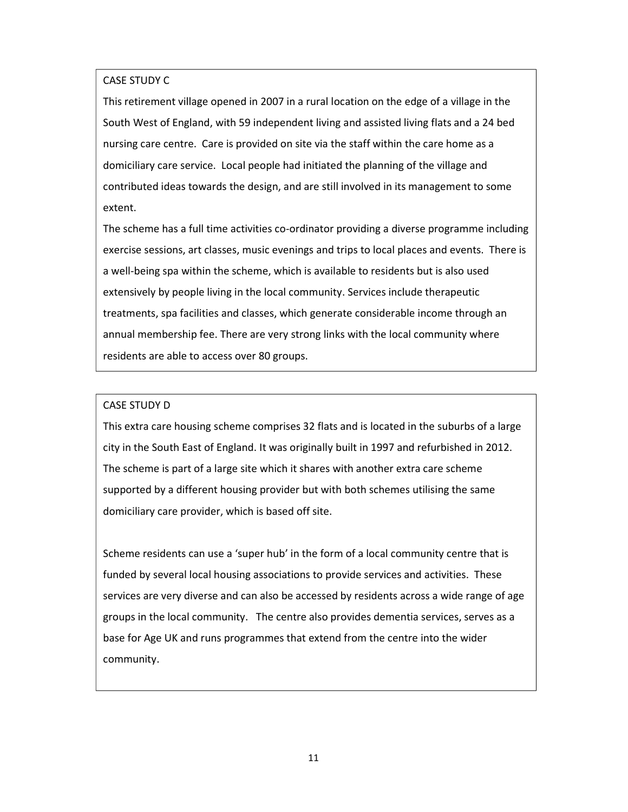#### CASE STUDY C

This retirement village opened in 2007 in a rural location on the edge of a village in the South West of England, with 59 independent living and assisted living flats and a 24 bed nursing care centre. Care is provided on site via the staff within the care home as a domiciliary care service. Local people had initiated the planning of the village and contributed ideas towards the design, and are still involved in its management to some extent.

The scheme has a full time activities co-ordinator providing a diverse programme including exercise sessions, art classes, music evenings and trips to local places and events. There is a well-being spa within the scheme, which is available to residents but is also used extensively by people living in the local community. Services include therapeutic treatments, spa facilities and classes, which generate considerable income through an annual membership fee. There are very strong links with the local community where residents are able to access over 80 groups.

#### CASE STUDY D

This extra care housing scheme comprises 32 flats and is located in the suburbs of a large city in the South East of England. It was originally built in 1997 and refurbished in 2012. The scheme is part of a large site which it shares with another extra care scheme supported by a different housing provider but with both schemes utilising the same domiciliary care provider, which is based off site.

Scheme residents can use a 'super hub' in the form of a local community centre that is funded by several local housing associations to provide services and activities. These services are very diverse and can also be accessed by residents across a wide range of age groups in the local community. The centre also provides dementia services, serves as a base for Age UK and runs programmes that extend from the centre into the wider community.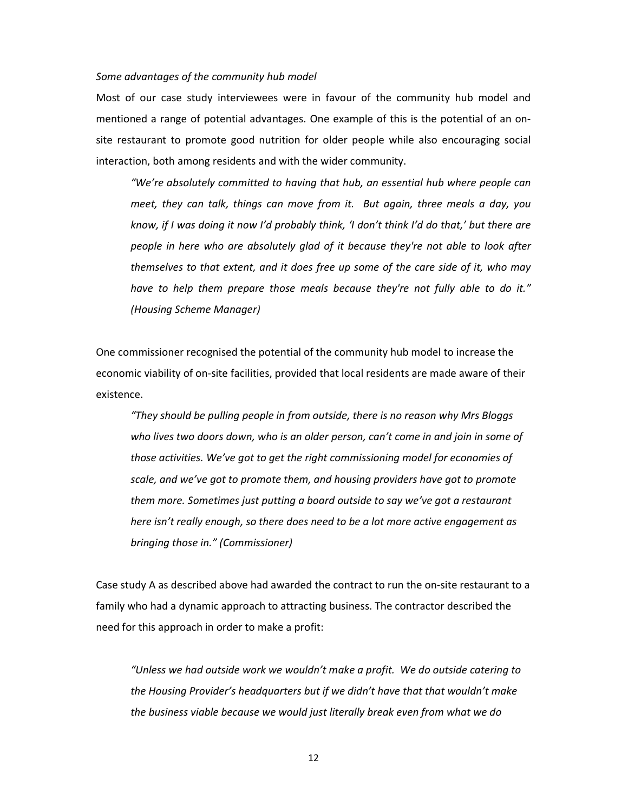#### *Some advantages of the community hub model*

Most of our case study interviewees were in favour of the community hub model and mentioned a range of potential advantages. One example of this is the potential of an onsite restaurant to promote good nutrition for older people while also encouraging social interaction, both among residents and with the wider community.

*"We're absolutely committed to having that hub, an essential hub where people can meet, they can talk, things can move from it. But again, three meals a day, you know, if I was doing it now I'd probably think, 'I don't think I'd do that,' but there are people in here who are absolutely glad of it because they're not able to look after themselves to that extent, and it does free up some of the care side of it, who may have to help them prepare those meals because they're not fully able to do it." (Housing Scheme Manager)* 

One commissioner recognised the potential of the community hub model to increase the economic viability of on-site facilities, provided that local residents are made aware of their existence.

*"They should be pulling people in from outside, there is no reason why Mrs Bloggs who lives two doors down, who is an older person, can't come in and join in some of those activities. We've got to get the right commissioning model for economies of scale, and we've got to promote them, and housing providers have got to promote them more. Sometimes just putting a board outside to say we've got a restaurant here isn't really enough, so there does need to be a lot more active engagement as bringing those in." (Commissioner)* 

Case study A as described above had awarded the contract to run the on-site restaurant to a family who had a dynamic approach to attracting business. The contractor described the need for this approach in order to make a profit:

*"Unless we had outside work we wouldn't make a profit. We do outside catering to the Housing Provider's headquarters but if we didn't have that that wouldn't make the business viable because we would just literally break even from what we do*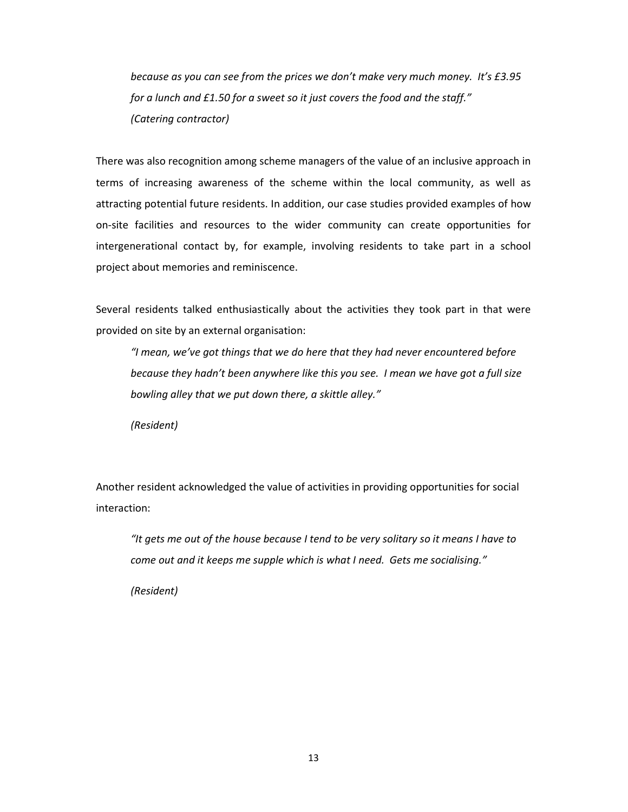*because as you can see from the prices we don't make very much money. It's £3.95 for a lunch and £1.50 for a sweet so it just covers the food and the staff." (Catering contractor)* 

There was also recognition among scheme managers of the value of an inclusive approach in terms of increasing awareness of the scheme within the local community, as well as attracting potential future residents. In addition, our case studies provided examples of how on-site facilities and resources to the wider community can create opportunities for intergenerational contact by, for example, involving residents to take part in a school project about memories and reminiscence.

Several residents talked enthusiastically about the activities they took part in that were provided on site by an external organisation:

*"I mean, we've got things that we do here that they had never encountered before because they hadn't been anywhere like this you see. I mean we have got a full size bowling alley that we put down there, a skittle alley."* 

*(Resident)* 

Another resident acknowledged the value of activities in providing opportunities for social interaction:

*"It gets me out of the house because I tend to be very solitary so it means I have to come out and it keeps me supple which is what I need. Gets me socialising."* 

*(Resident)*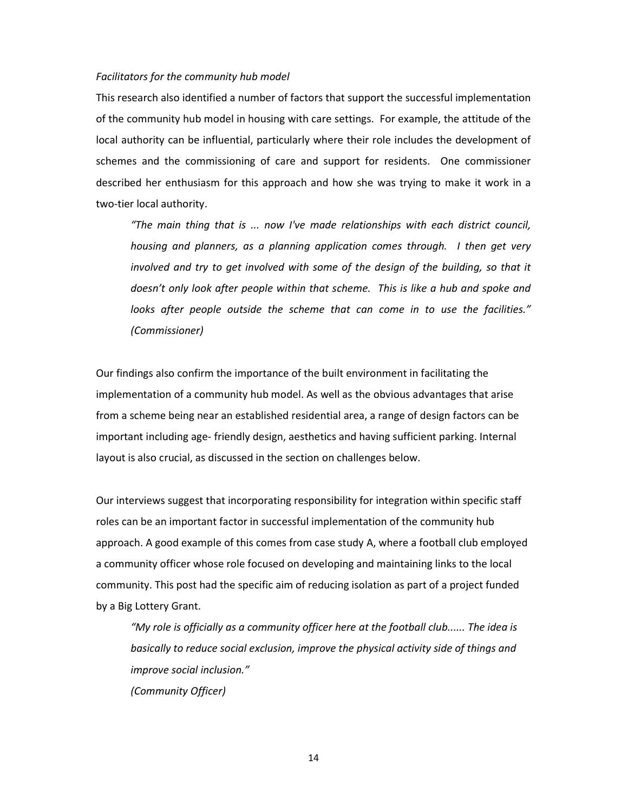#### *Facilitators for the community hub model*

This research also identified a number of factors that support the successful implementation of the community hub model in housing with care settings. For example, the attitude of the local authority can be influential, particularly where their role includes the development of schemes and the commissioning of care and support for residents. One commissioner described her enthusiasm for this approach and how she was trying to make it work in a two-tier local authority.

*"The main thing that is ... now I've made relationships with each district council, housing and planners, as a planning application comes through. I then get very involved and try to get involved with some of the design of the building, so that it doesn't only look after people within that scheme. This is like a hub and spoke and looks after people outside the scheme that can come in to use the facilities." (Commissioner)*

Our findings also confirm the importance of the built environment in facilitating the implementation of a community hub model. As well as the obvious advantages that arise from a scheme being near an established residential area, a range of design factors can be important including age- friendly design, aesthetics and having sufficient parking. Internal layout is also crucial, as discussed in the section on challenges below.

Our interviews suggest that incorporating responsibility for integration within specific staff roles can be an important factor in successful implementation of the community hub approach. A good example of this comes from case study A, where a football club employed a community officer whose role focused on developing and maintaining links to the local community. This post had the specific aim of reducing isolation as part of a project funded by a Big Lottery Grant.

*"My role is officially as a community officer here at the football club...... The idea is basically to reduce social exclusion, improve the physical activity side of things and improve social inclusion." (Community Officer)*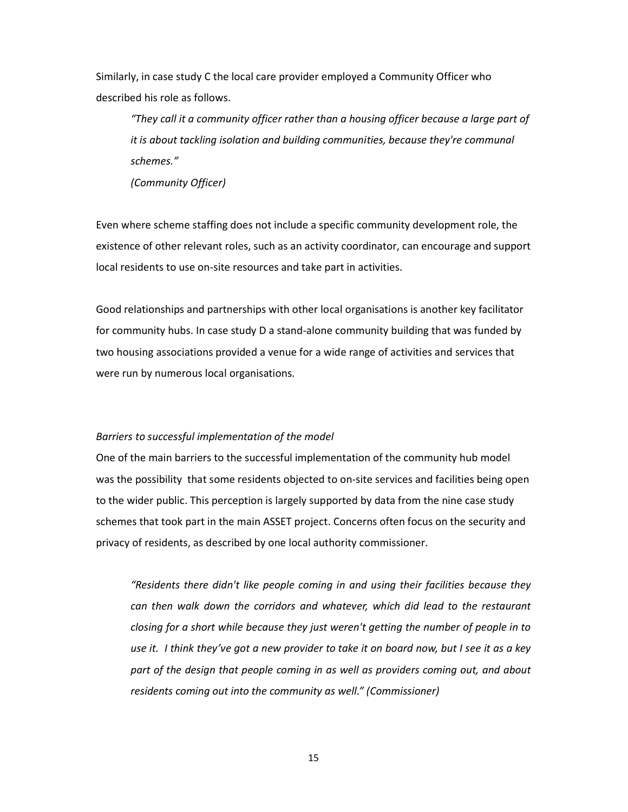Similarly, in case study C the local care provider employed a Community Officer who described his role as follows.

*"They call it a community officer rather than a housing officer because a large part of it is about tackling isolation and building communities, because they're communal schemes."* 

*(Community Officer)* 

Even where scheme staffing does not include a specific community development role, the existence of other relevant roles, such as an activity coordinator, can encourage and support local residents to use on-site resources and take part in activities.

Good relationships and partnerships with other local organisations is another key facilitator for community hubs. In case study D a stand-alone community building that was funded by two housing associations provided a venue for a wide range of activities and services that were run by numerous local organisations.

#### *Barriers to successful implementation of the model*

One of the main barriers to the successful implementation of the community hub model was the possibility that some residents objected to on-site services and facilities being open to the wider public. This perception is largely supported by data from the nine case study schemes that took part in the main ASSET project. Concerns often focus on the security and privacy of residents, as described by one local authority commissioner.

*"Residents there didn't like people coming in and using their facilities because they can then walk down the corridors and whatever, which did lead to the restaurant closing for a short while because they just weren't getting the number of people in to use it. I think they've got a new provider to take it on board now, but I see it as a key part of the design that people coming in as well as providers coming out, and about residents coming out into the community as well." (Commissioner)*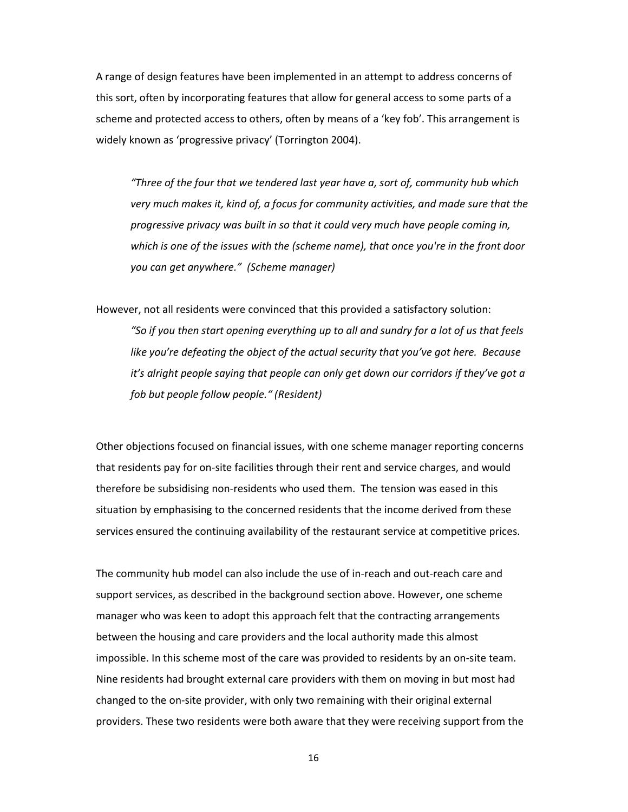A range of design features have been implemented in an attempt to address concerns of this sort, often by incorporating features that allow for general access to some parts of a scheme and protected access to others, often by means of a 'key fob'. This arrangement is widely known as 'progressive privacy' (Torrington 2004).

*"Three of the four that we tendered last year have a, sort of, community hub which very much makes it, kind of, a focus for community activities, and made sure that the progressive privacy was built in so that it could very much have people coming in, which is one of the issues with the (scheme name), that once you're in the front door you can get anywhere." (Scheme manager)*

However, not all residents were convinced that this provided a satisfactory solution: *"So if you then start opening everything up to all and sundry for a lot of us that feels like you're defeating the object of the actual security that you've got here. Because it's alright people saying that people can only get down our corridors if they've got a fob but people follow people." (Resident)* 

Other objections focused on financial issues, with one scheme manager reporting concerns that residents pay for on-site facilities through their rent and service charges, and would therefore be subsidising non-residents who used them. The tension was eased in this situation by emphasising to the concerned residents that the income derived from these services ensured the continuing availability of the restaurant service at competitive prices.

The community hub model can also include the use of in-reach and out-reach care and support services, as described in the background section above. However, one scheme manager who was keen to adopt this approach felt that the contracting arrangements between the housing and care providers and the local authority made this almost impossible. In this scheme most of the care was provided to residents by an on-site team. Nine residents had brought external care providers with them on moving in but most had changed to the on-site provider, with only two remaining with their original external providers. These two residents were both aware that they were receiving support from the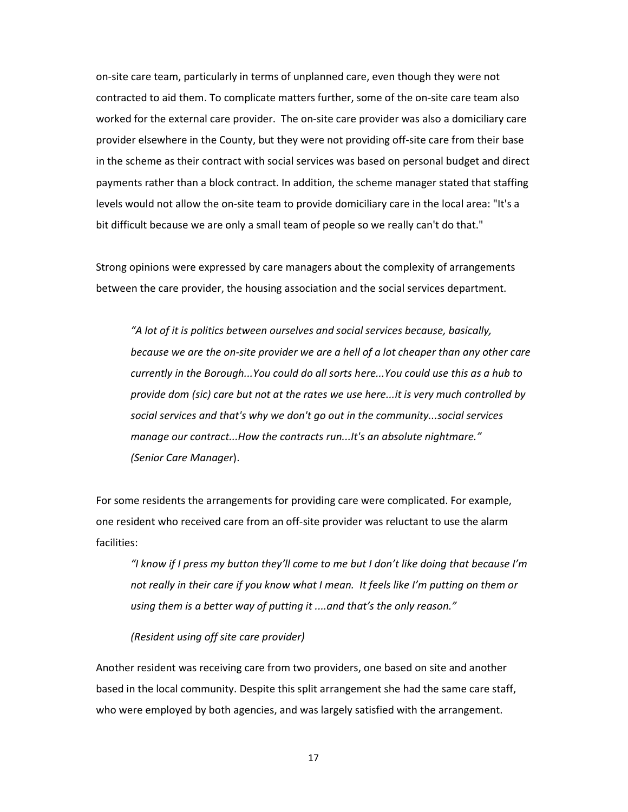on-site care team, particularly in terms of unplanned care, even though they were not contracted to aid them. To complicate matters further, some of the on-site care team also worked for the external care provider. The on-site care provider was also a domiciliary care provider elsewhere in the County, but they were not providing off-site care from their base in the scheme as their contract with social services was based on personal budget and direct payments rather than a block contract. In addition, the scheme manager stated that staffing levels would not allow the on-site team to provide domiciliary care in the local area: "It's a bit difficult because we are only a small team of people so we really can't do that."

Strong opinions were expressed by care managers about the complexity of arrangements between the care provider, the housing association and the social services department.

*"A lot of it is politics between ourselves and social services because, basically, because we are the on-site provider we are a hell of a lot cheaper than any other care currently in the Borough...You could do all sorts here...You could use this as a hub to provide dom (sic) care but not at the rates we use here...it is very much controlled by social services and that's why we don't go out in the community...social services manage our contract...How the contracts run...It's an absolute nightmare." (Senior Care Manager*).

For some residents the arrangements for providing care were complicated. For example, one resident who received care from an off-site provider was reluctant to use the alarm facilities:

*"I know if I press my button they'll come to me but I don't like doing that because I'm not really in their care if you know what I mean. It feels like I'm putting on them or using them is a better way of putting it ....and that's the only reason."* 

#### *(Resident using off site care provider)*

Another resident was receiving care from two providers, one based on site and another based in the local community. Despite this split arrangement she had the same care staff, who were employed by both agencies, and was largely satisfied with the arrangement.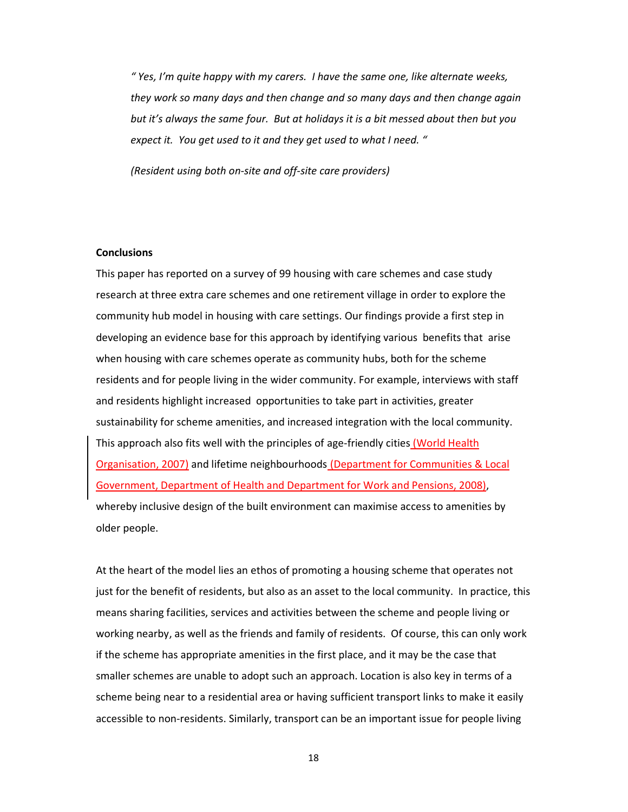*" Yes, I'm quite happy with my carers. I have the same one, like alternate weeks, they work so many days and then change and so many days and then change again but it's always the same four. But at holidays it is a bit messed about then but you expect it. You get used to it and they get used to what I need. "* 

 *(Resident using both on-site and off-site care providers)* 

#### **Conclusions**

This paper has reported on a survey of 99 housing with care schemes and case study research at three extra care schemes and one retirement village in order to explore the community hub model in housing with care settings. Our findings provide a first step in developing an evidence base for this approach by identifying various benefits that arise when housing with care schemes operate as community hubs, both for the scheme residents and for people living in the wider community. For example, interviews with staff and residents highlight increased opportunities to take part in activities, greater sustainability for scheme amenities, and increased integration with the local community. This approach also fits well with the principles of age-friendly cities (World Health Organisation, 2007) and lifetime neighbourhoods (Department for Communities & Local Government, Department of Health and Department for Work and Pensions, 2008), whereby inclusive design of the built environment can maximise access to amenities by older people.

At the heart of the model lies an ethos of promoting a housing scheme that operates not just for the benefit of residents, but also as an asset to the local community. In practice, this means sharing facilities, services and activities between the scheme and people living or working nearby, as well as the friends and family of residents. Of course, this can only work if the scheme has appropriate amenities in the first place, and it may be the case that smaller schemes are unable to adopt such an approach. Location is also key in terms of a scheme being near to a residential area or having sufficient transport links to make it easily accessible to non-residents. Similarly, transport can be an important issue for people living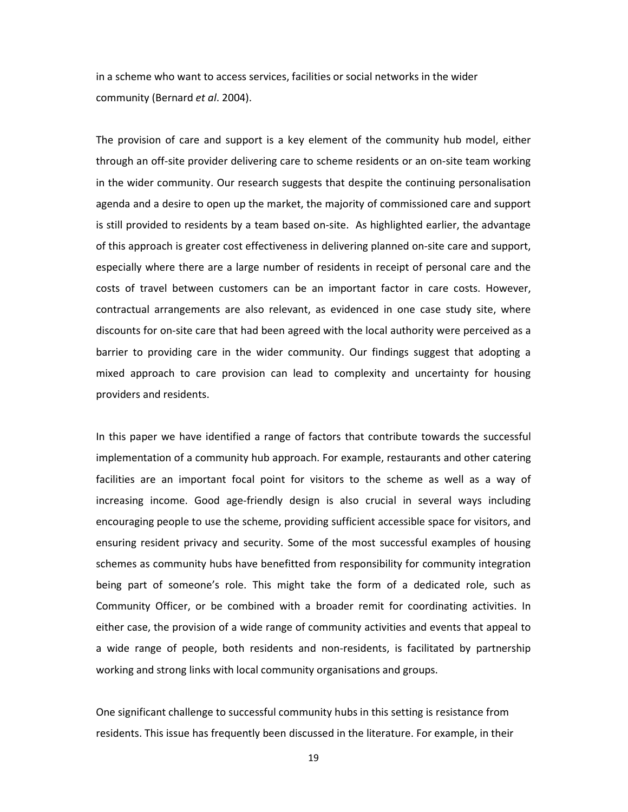in a scheme who want to access services, facilities or social networks in the wider community (Bernard *et al*. 2004).

The provision of care and support is a key element of the community hub model, either through an off-site provider delivering care to scheme residents or an on-site team working in the wider community. Our research suggests that despite the continuing personalisation agenda and a desire to open up the market, the majority of commissioned care and support is still provided to residents by a team based on-site. As highlighted earlier, the advantage of this approach is greater cost effectiveness in delivering planned on-site care and support, especially where there are a large number of residents in receipt of personal care and the costs of travel between customers can be an important factor in care costs. However, contractual arrangements are also relevant, as evidenced in one case study site, where discounts for on-site care that had been agreed with the local authority were perceived as a barrier to providing care in the wider community. Our findings suggest that adopting a mixed approach to care provision can lead to complexity and uncertainty for housing providers and residents.

In this paper we have identified a range of factors that contribute towards the successful implementation of a community hub approach. For example, restaurants and other catering facilities are an important focal point for visitors to the scheme as well as a way of increasing income. Good age-friendly design is also crucial in several ways including encouraging people to use the scheme, providing sufficient accessible space for visitors, and ensuring resident privacy and security. Some of the most successful examples of housing schemes as community hubs have benefitted from responsibility for community integration being part of someone's role. This might take the form of a dedicated role, such as Community Officer, or be combined with a broader remit for coordinating activities. In either case, the provision of a wide range of community activities and events that appeal to a wide range of people, both residents and non-residents, is facilitated by partnership working and strong links with local community organisations and groups.

One significant challenge to successful community hubs in this setting is resistance from residents. This issue has frequently been discussed in the literature. For example, in their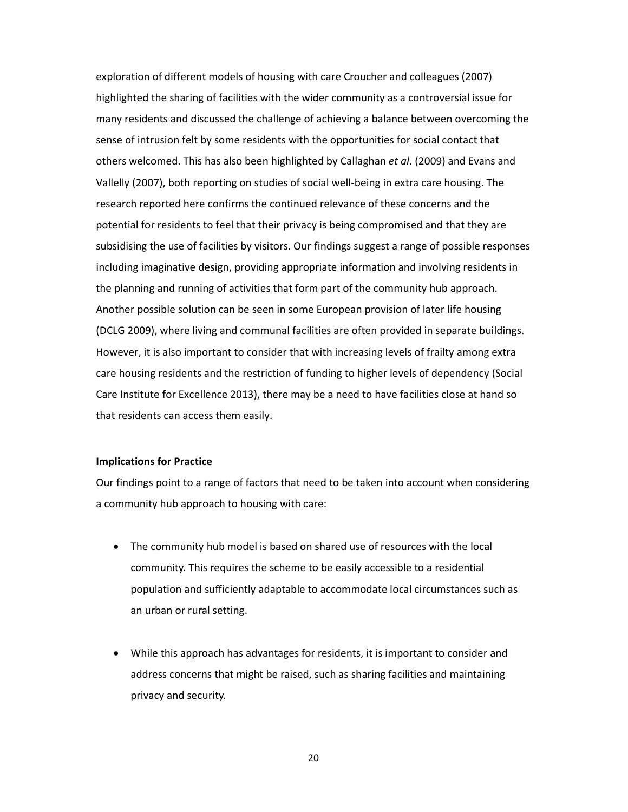exploration of different models of housing with care Croucher and colleagues (2007) highlighted the sharing of facilities with the wider community as a controversial issue for many residents and discussed the challenge of achieving a balance between overcoming the sense of intrusion felt by some residents with the opportunities for social contact that others welcomed. This has also been highlighted by Callaghan *et al*. (2009) and Evans and Vallelly (2007), both reporting on studies of social well-being in extra care housing. The research reported here confirms the continued relevance of these concerns and the potential for residents to feel that their privacy is being compromised and that they are subsidising the use of facilities by visitors. Our findings suggest a range of possible responses including imaginative design, providing appropriate information and involving residents in the planning and running of activities that form part of the community hub approach. Another possible solution can be seen in some European provision of later life housing (DCLG 2009), where living and communal facilities are often provided in separate buildings. However, it is also important to consider that with increasing levels of frailty among extra care housing residents and the restriction of funding to higher levels of dependency (Social Care Institute for Excellence 2013), there may be a need to have facilities close at hand so that residents can access them easily.

#### **Implications for Practice**

Our findings point to a range of factors that need to be taken into account when considering a community hub approach to housing with care:

- The community hub model is based on shared use of resources with the local community. This requires the scheme to be easily accessible to a residential population and sufficiently adaptable to accommodate local circumstances such as an urban or rural setting.
- While this approach has advantages for residents, it is important to consider and address concerns that might be raised, such as sharing facilities and maintaining privacy and security.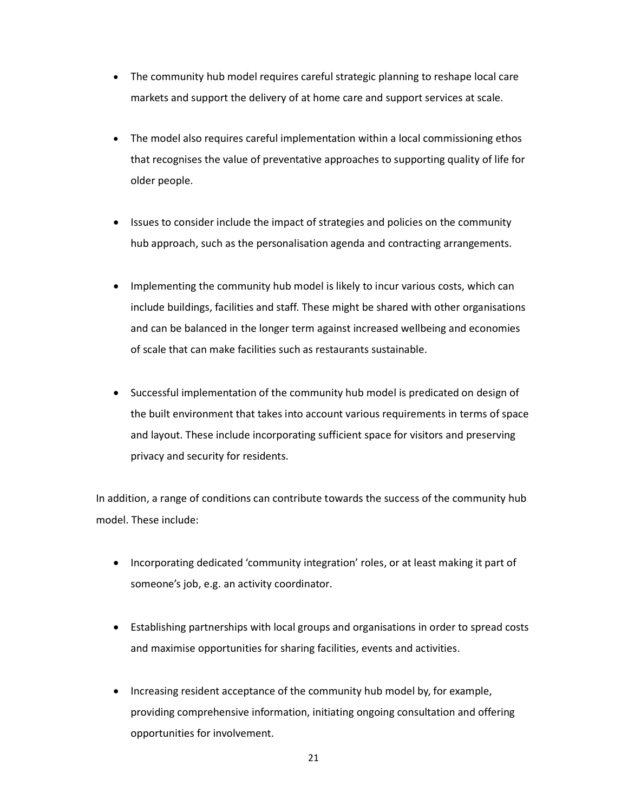- The community hub model requires careful strategic planning to reshape local care markets and support the delivery of at home care and support services at scale.
- The model also requires careful implementation within a local commissioning ethos that recognises the value of preventative approaches to supporting quality of life for older people.
- Issues to consider include the impact of strategies and policies on the community hub approach, such as the personalisation agenda and contracting arrangements.
- Implementing the community hub model is likely to incur various costs, which can include buildings, facilities and staff. These might be shared with other organisations and can be balanced in the longer term against increased wellbeing and economies of scale that can make facilities such as restaurants sustainable.
- Successful implementation of the community hub model is predicated on design of the built environment that takes into account various requirements in terms of space and layout. These include incorporating sufficient space for visitors and preserving privacy and security for residents.

In addition, a range of conditions can contribute towards the success of the community hub model. These include:

- Incorporating dedicated 'community integration' roles, or at least making it part of someone's job, e.g. an activity coordinator.
- Establishing partnerships with local groups and organisations in order to spread costs and maximise opportunities for sharing facilities, events and activities.
- Increasing resident acceptance of the community hub model by, for example, providing comprehensive information, initiating ongoing consultation and offering opportunities for involvement.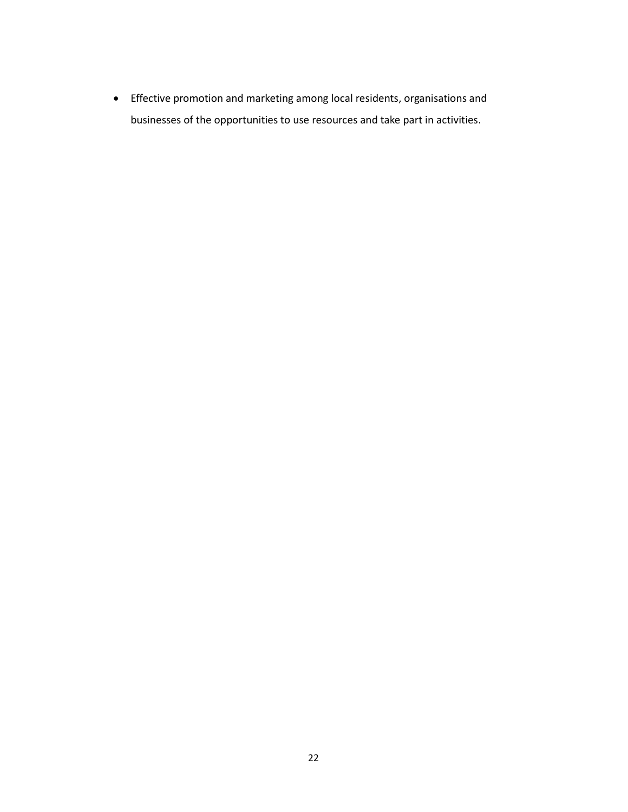Effective promotion and marketing among local residents, organisations and businesses of the opportunities to use resources and take part in activities.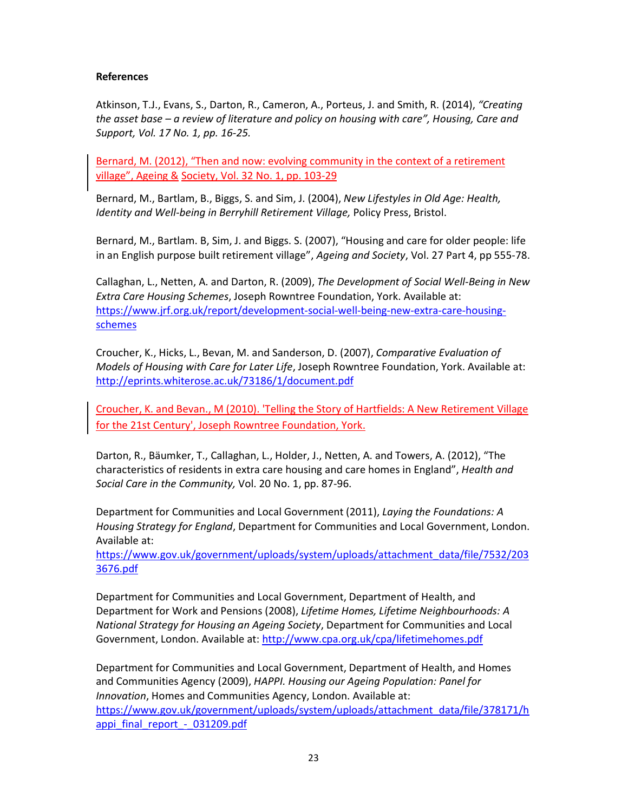#### **References**

Atkinson, T.J., Evans, S., Darton, R., Cameron, A., Porteus, J. and Smith, R. (2014), *"Creating the asset base – a review of literature and policy on housing with care", Housing, Care and Support, Vol. 17 No. 1, pp. 16-25.*

Bernard, M. (2012), "Then and now: evolving community in the context of a retirement village", Ageing & Society, Vol. 32 No. 1, pp. 103-29

Bernard, M., Bartlam, B., Biggs, S. and Sim, J. (2004), *New Lifestyles in Old Age: Health, Identity and Well-being in Berryhill Retirement Village, Policy Press, Bristol.* 

Bernard, M., Bartlam. B, Sim, J. and Biggs. S. (2007), "Housing and care for older people: life in an English purpose built retirement village", *Ageing and Society*, Vol. 27 Part 4, pp 555-78.

Callaghan, L., Netten, A. and Darton, R. (2009), *The Development of Social Well-Being in New Extra Care Housing Schemes*, Joseph Rowntree Foundation, York. Available at: https://www.jrf.org.uk/report/development-social-well-being-new-extra-care-housingschemes

Croucher, K., Hicks, L., Bevan, M. and Sanderson, D. (2007), *Comparative Evaluation of Models of Housing with Care for Later Life*, Joseph Rowntree Foundation, York. Available at: http://eprints.whiterose.ac.uk/73186/1/document.pdf

Croucher, K. and Bevan., M (2010). 'Telling the Story of Hartfields: A New Retirement Village for the 21st Century', Joseph Rowntree Foundation, York.

Darton, R., Bäumker, T., Callaghan, L., Holder, J., Netten, A. and Towers, A. (2012), "The characteristics of residents in extra care housing and care homes in England", *Health and Social Care in the Community,* Vol. 20 No. 1, pp. 87-96.

Department for Communities and Local Government (2011), *Laying the Foundations: A Housing Strategy for England*, Department for Communities and Local Government, London. Available at:

https://www.gov.uk/government/uploads/system/uploads/attachment\_data/file/7532/203 3676.pdf

Department for Communities and Local Government, Department of Health, and Department for Work and Pensions (2008), *Lifetime Homes, Lifetime Neighbourhoods: A National Strategy for Housing an Ageing Society*, Department for Communities and Local Government, London. Available at: http://www.cpa.org.uk/cpa/lifetimehomes.pdf

Department for Communities and Local Government, Department of Health, and Homes and Communities Agency (2009), *HAPPI. Housing our Ageing Population: Panel for Innovation*, Homes and Communities Agency, London. Available at: https://www.gov.uk/government/uploads/system/uploads/attachment\_data/file/378171/h appi\_final\_report - 031209.pdf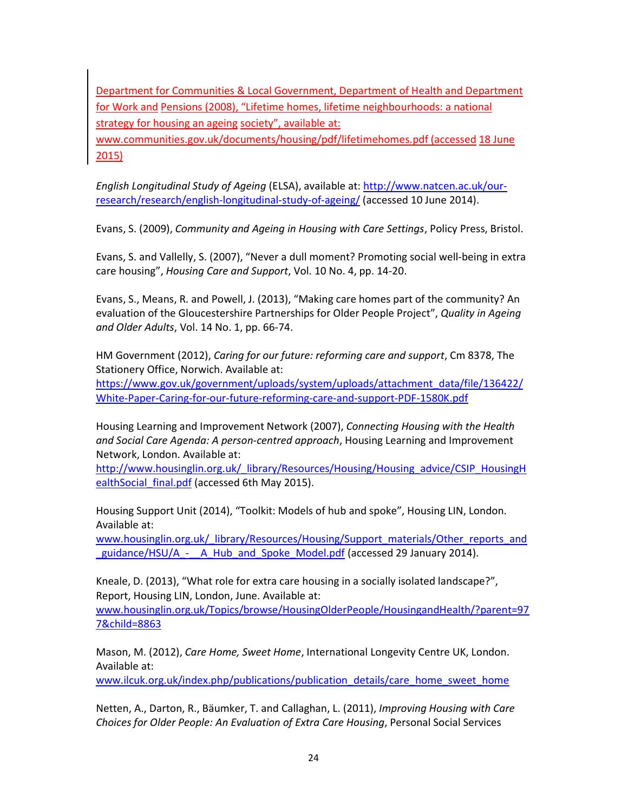Department for Communities & Local Government, Department of Health and Department for Work and Pensions (2008), "Lifetime homes, lifetime neighbourhoods: a national strategy for housing an ageing society", available at: www.communities.gov.uk/documents/housing/pdf/lifetimehomes.pdf (accessed 18 June

2015)

*English Longitudinal Study of Ageing* (ELSA), available at: http://www.natcen.ac.uk/ourresearch/research/english-longitudinal-study-of-ageing/ (accessed 10 June 2014).

Evans, S. (2009), *Community and Ageing in Housing with Care Settings*, Policy Press, Bristol.

Evans, S. and Vallelly, S. (2007), "Never a dull moment? Promoting social well-being in extra care housing", *Housing Care and Support*, Vol. 10 No. 4, pp. 14-20.

Evans, S., Means, R. and Powell, J. (2013), "Making care homes part of the community? An evaluation of the Gloucestershire Partnerships for Older People Project", *Quality in Ageing and Older Adults*, Vol. 14 No. 1, pp. 66-74.

HM Government (2012), *Caring for our future: reforming care and support*, Cm 8378, The Stationery Office, Norwich. Available at: https://www.gov.uk/government/uploads/system/uploads/attachment\_data/file/136422/ White-Paper-Caring-for-our-future-reforming-care-and-support-PDF-1580K.pdf

Housing Learning and Improvement Network (2007), *Connecting Housing with the Health and Social Care Agenda: A person-centred approach*, Housing Learning and Improvement Network, London. Available at:

http://www.housinglin.org.uk/\_library/Resources/Housing/Housing\_advice/CSIP\_HousingH ealthSocial\_final.pdf (accessed 6th May 2015).

Housing Support Unit (2014), "Toolkit: Models of hub and spoke", Housing LIN, London. Available at:

www.housinglin.org.uk/\_library/Resources/Housing/Support\_materials/Other\_reports\_and guidance/HSU/A - A Hub and Spoke Model.pdf (accessed 29 January 2014).

Kneale, D. (2013), "What role for extra care housing in a socially isolated landscape?", Report, Housing LIN, London, June. Available at:

www.housinglin.org.uk/Topics/browse/HousingOlderPeople/HousingandHealth/?parent=97 7&child=8863

Mason, M. (2012), *Care Home, Sweet Home*, International Longevity Centre UK, London. Available at:

www.ilcuk.org.uk/index.php/publications/publication\_details/care\_home\_sweet\_home

Netten, A., Darton, R., Bäumker, T. and Callaghan, L. (2011), *Improving Housing with Care Choices for Older People: An Evaluation of Extra Care Housing*, Personal Social Services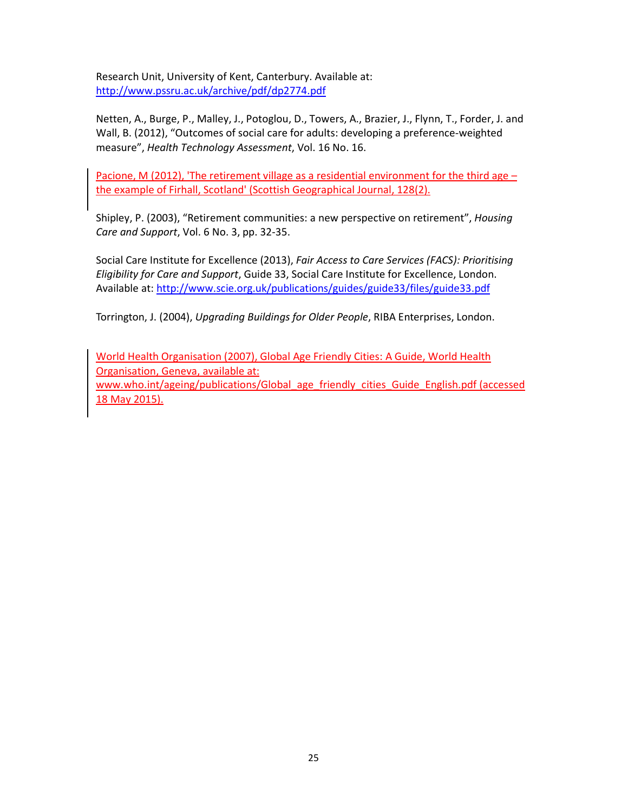Research Unit, University of Kent, Canterbury. Available at: http://www.pssru.ac.uk/archive/pdf/dp2774.pdf

Netten, A., Burge, P., Malley, J., Potoglou, D., Towers, A., Brazier, J., Flynn, T., Forder, J. and Wall, B. (2012), "Outcomes of social care for adults: developing a preference-weighted measure", *Health Technology Assessment*, Vol. 16 No. 16.

Pacione, M (2012), 'The retirement village as a residential environment for the third age – the example of Firhall, Scotland' (Scottish Geographical Journal, 128(2).

Shipley, P. (2003), "Retirement communities: a new perspective on retirement", *Housing Care and Support*, Vol. 6 No. 3, pp. 32-35.

Social Care Institute for Excellence (2013), *Fair Access to Care Services (FACS): Prioritising Eligibility for Care and Support*, Guide 33, Social Care Institute for Excellence, London. Available at: http://www.scie.org.uk/publications/guides/guide33/files/guide33.pdf

Torrington, J. (2004), *Upgrading Buildings for Older People*, RIBA Enterprises, London.

World Health Organisation (2007), Global Age Friendly Cities: A Guide, World Health Organisation, Geneva, available at:

www.who.int/ageing/publications/Global age friendly cities Guide English.pdf (accessed 18 May 2015).